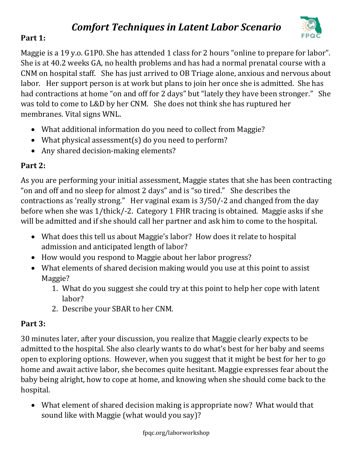# *Comfort Techniques in Latent Labor Scenario*



## **Part 1:**

Maggie is a 19 y.o. G1P0. She has attended 1 class for 2 hours "online to prepare for labor". She is at 40.2 weeks GA, no health problems and has had a normal prenatal course with a CNM on hospital staff. She has just arrived to OB Triage alone, anxious and nervous about labor. Her support person is at work but plans to join her once she is admitted. She has had contractions at home "on and off for 2 days" but "lately they have been stronger." She was told to come to L&D by her CNM. She does not think she has ruptured her membranes. Vital signs WNL.

- What additional information do you need to collect from Maggie?
- What physical assessment(s) do you need to perform?
- Any shared decision-making elements?

### **Part 2:**

As you are performing your initial assessment, Maggie states that she has been contracting "on and off and no sleep for almost 2 days" and is "so tired." She describes the contractions as 'really strong." Her vaginal exam is 3/50/-2 and changed from the day before when she was 1/thick/-2. Category 1 FHR tracing is obtained. Maggie asks if she will be admitted and if she should call her partner and ask him to come to the hospital.

- What does this tell us about Maggie's labor? How does it relate to hospital admission and anticipated length of labor?
- How would you respond to Maggie about her labor progress?
- What elements of shared decision making would you use at this point to assist Maggie?
	- 1. What do you suggest she could try at this point to help her cope with latent labor?
	- 2. Describe your SBAR to her CNM.

## **Part 3:**

30 minutes later, after your discussion, you realize that Maggie clearly expects to be admitted to the hospital. She also clearly wants to do what's best for her baby and seems open to exploring options. However, when you suggest that it might be best for her to go home and await active labor, she becomes quite hesitant. Maggie expresses fear about the baby being alright, how to cope at home, and knowing when she should come back to the hospital.

• What element of shared decision making is appropriate now? What would that sound like with Maggie (what would you say)?